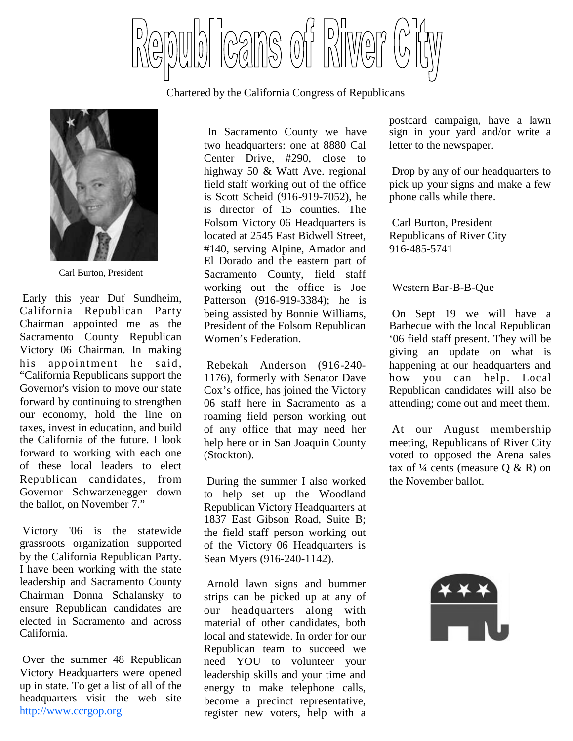

Chartered by the California Congress of Republicans



Carl Burton, President

Early this year Duf Sundheim, California Republican Party Chairman appointed me as the Sacramento County Republican Victory 06 Chairman. In making his appointment he said, "California Republicans support the Governor's vision to move our state forward by continuing to strengthen our economy, hold the line on taxes, invest in education, and build the California of the future. I look forward to working with each one of these local leaders to elect Republican candidates, from Governor Schwarzenegger down the ballot, on November 7."

Victory '06 is the statewide grassroots organization supported by the California Republican Party. I have been working with the state leadership and Sacramento County Chairman Donna Schalansky to ensure Republican candidates are elected in Sacramento and across California.

Over the summer 48 Republican Victory Headquarters were opened up in state. To get a list of all of the headquarters visit the web site http://www.ccrgop.org

In Sacramento County we have two headquarters: one at 8880 Cal Center Drive, #290, close to highway 50 & Watt Ave. regional field staff working out of the office is Scott Scheid (916-919-7052), he is director of 15 counties. The Folsom Victory 06 Headquarters is located at 2545 East Bidwell Street, #140, serving Alpine, Amador and El Dorado and the eastern part of Sacramento County, field staff working out the office is Joe Patterson (916-919-3384); he is being assisted by Bonnie Williams, President of the Folsom Republican Women's Federation.

Rebekah Anderson (916-240- 1176), formerly with Senator Dave Cox's office, has joined the Victory 06 staff here in Sacramento as a roaming field person working out of any office that may need her help here or in San Joaquin County (Stockton).

During the summer I also worked to help set up the Woodland Republican Victory Headquarters at 1837 East Gibson Road, Suite B; the field staff person working out of the Victory 06 Headquarters is Sean Myers (916-240-1142).

Arnold lawn signs and bummer strips can be picked up at any of our headquarters along with material of other candidates, both local and statewide. In order for our Republican team to succeed we need YOU to volunteer your leadership skills and your time and energy to make telephone calls, become a precinct representative, register new voters, help with a

postcard campaign, have a lawn sign in your yard and/or write a letter to the newspaper.

Drop by any of our headquarters to pick up your signs and make a few phone calls while there.

Carl Burton, President Republicans of River City 916-485-5741

# Western Bar-B-B-Que

On Sept 19 we will have a Barbecue with the local Republican '06 field staff present. They will be giving an update on what is happening at our headquarters and how you can help. Local Republican candidates will also be attending; come out and meet them.

At our August membership meeting, Republicans of River City voted to opposed the Arena sales tax of  $\frac{1}{4}$  cents (measure Q & R) on the November ballot.

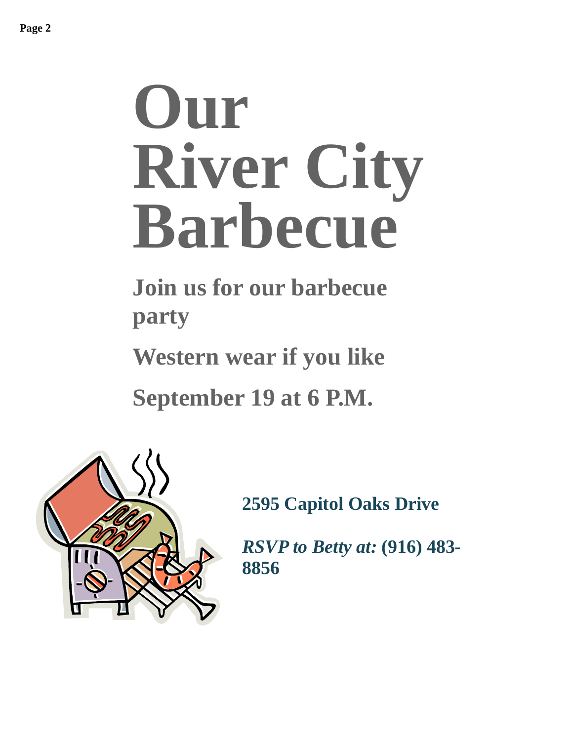# **Our River City Barbecue**

**Join us for our barbecue party**

**Western wear if you like**

**September 19 at 6 P.M.**



**2595 Capitol Oaks Drive**

*RSVP to Betty at:* **(916) 483- 8856**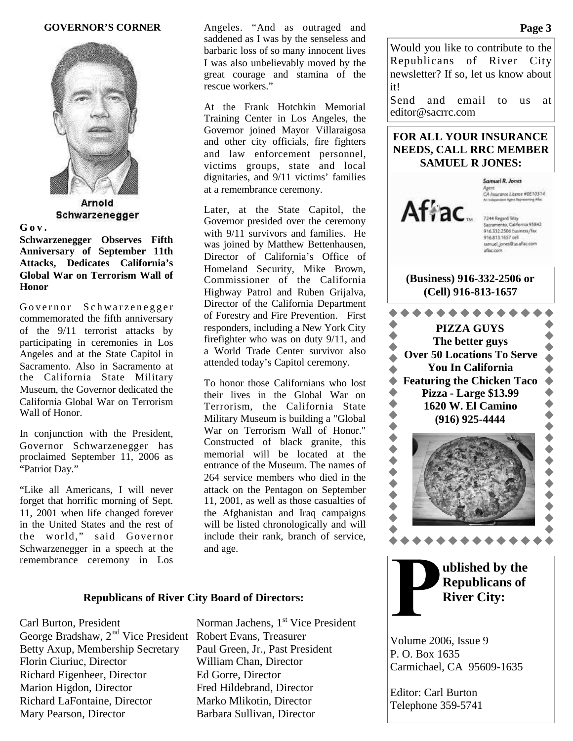### **GOVERNOR'S CORNER**



Arnold Schwarzenegger

### **G o v .**

**Schwarzenegger Observes Fifth Anniversary of September 11th Attacks, Dedicates California's Global War on Terrorism Wall of Honor**

Governor Schwarzenegger commemorated the fifth anniversary of the 9/11 terrorist attacks by participating in ceremonies in Los Angeles and at the State Capitol in Sacramento. Also in Sacramento at the California State Military Museum, the Governor dedicated the California Global War on Terrorism Wall of Honor.

In conjunction with the President, Governor Schwarzenegger has proclaimed September 11, 2006 as "Patriot Day."

"Like all Americans, I will never forget that horrific morning of Sept. 11, 2001 when life changed forever in the United States and the rest of the world," said Governor Schwarzenegger in a speech at the remembrance ceremony in Los

Angeles. "And as outraged and saddened as I was by the senseless and barbaric loss of so many innocent lives I was also unbelievably moved by the great courage and stamina of the rescue workers."

At the Frank Hotchkin Memorial Training Center in Los Angeles, the Governor joined Mayor Villaraigosa and other city officials, fire fighters and law enforcement personnel, victims groups, state and local dignitaries, and 9/11 victims' families at a remembrance ceremony.

Later, at the State Capitol, the Governor presided over the ceremony with  $9/11$  survivors and families. He was joined by Matthew Bettenhausen, Director of California's Office of Homeland Security, Mike Brown, Commissioner of the California Highway Patrol and Ruben Grijalva, Director of the California Department of Forestry and Fire Prevention. First responders, including a New York City firefighter who was on duty 9/11, and a World Trade Center survivor also attended today's Capitol ceremony.

To honor those Californians who lost their lives in the Global War on Terrorism, the California State Military Museum is building a "Global War on Terrorism Wall of Honor." Constructed of black granite, this memorial will be located at the entrance of the Museum. The names of 264 service members who died in the attack on the Pentagon on September 11, 2001, as well as those casualties of the Afghanistan and Iraq campaigns will be listed chronologically and will include their rank, branch of service, and age.

# **Republicans of River City Board of Directors:**

Carl Burton, President Norman Jachens, 1<sup>st</sup> Vice President George Bradshaw, 2<sup>nd</sup> Vice President Robert Evans, Treasurer Betty Axup, Membership Secretary Paul Green, Jr., Past President Florin Ciuriuc, Director William Chan, Director Richard Eigenheer, Director Ed Gorre, Director Marion Higdon, Director Fred Hildebrand, Director Richard LaFontaine, Director Marko Mlikotin, Director Mary Pearson, Director Barbara Sullivan, Director

Would you like to contribute to the Republicans of River City newsletter? If so, let us know about it!

Send and email to us at editor@sacrrc.com

# **FOR ALL YOUR INSURANCE NEEDS, CALL RRC MEMBER SAMUEL R JONES:**



Samuel R. Jones CA Insurance License #0E10314

samuel\_jones@us.aflac.com aflac.com

# **(Business) 916-332-2506 or (Cell) 916-813-1657**





**ublished by the Republicans of River City:**

Volume 2006, Issue 9 P. O. Box 1635 Carmichael, CA 95609-1635

Editor: Carl Burton Telephone 359-5741

### **Page 3**